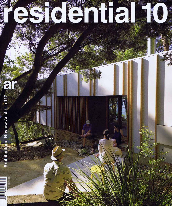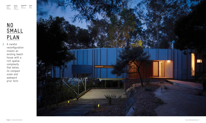## NO **SMALL** PLAN n

**ar** 068 A careful reconfiguration invests an existing beach house with a rich spatial complexity that belies its compact scale and awkward prior form.



| architect          | project           | photography  | review |
|--------------------|-------------------|--------------|--------|
| David              | Burridge          | <b>Brett</b> | Peter  |
| Boyle<br>Architect | Read<br>Residence | Boardman     | Tonkin |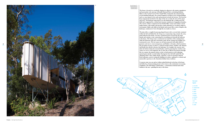

**ar** 071

**The house is located on a northerly sloping site adjacent to the mature angophoras and spectacular rock outcrops of Bouddi National Park, overlooking Brisbane Water on the Central Coast of New South Wales. Inspired by the natural beauty of surrounding landscapes, the textural fragment is grafted to the existing building and is at once pinned to the earth and projected towards the horizon. The form has been stepped and stretched to the edges of the site to make the most of the aspect and views. The bedroom wing projects over the landscape like a cantilevered rock shelf and is supported by a twisted steel structure reminiscent of angophora branches. The exterior, which is comprised of clear finished fibre cement and random vertical timber battens, will weather and develop a patina allowing it to sit quietly within its environment. Subtle scale shifts in the battens and screens offer a sense of depth to the landscape, reminiscent of views through the tree trunks in a forest.**

- a. en suite
- b. master bed

**The plan offers a roughly boomerang-shaped layout with a covered deck contained within the hub and flanked by the living area. A projecting wing contains the entry, main bedroom and ensuite. An entry veranda has been recessed into the main façade and contains a stair connecting the car parking area beneath the bedroom to the house. The living room is constructed over the floor of the existing house, while the bedroom wing and a mezzanine study off the existing stair landing were constructed as new. The new spaces are all interconnected with subtle shifts of geometry and axis to create transparency and fluidity to the plan, which maximises the perception of space in what is a relatively modest project. Smaller scale elements and details also directly reference the landscape. For example, the concrete entry slab, the kitchen island, the internal fireplace and the projecting bay windows and vanity are seen as rock fragments; the en suite tiles as filtered sun patterns through the tree canopy; the painted colour overlay as bark patterns on the adjoining spotted gums and the recycled timber flooring has been left half-sanded like the adjoining wharf. These subtle details, crafted by a team of extremely talented local tradesmen, assist in setting the building in its place, making for a relaxed and memorable experience in the Australian holiday house tradition.**

**A concrete stone was cast and set within toothed brickwork at the base of the house and offered as a housewarming present to the owners as the construction was nearing completion. The relief depicts a brush turkey – a notoriously territorial native bird endemic to the area – guarding the entry to the house.**

*<sup>01</sup>* Architect's Statement

> **floor plan legend**

- c. entry
- d. deck
- e. living
- f. dining
- g. kitchen
- h. study
- i. wc
- j.+k. bed m. bath

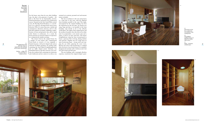**ar** 072

**ar** 073

For the house, more than for any other building type, the plan is the generator of quality – the plan is the basis for its functionality, environmental performance and much of its architectural success. Situated on the New South Wales central coast, the Burridge Read Residence is a reworking of an unloved, developer-built beach house from the 1990s. It is more than just a stylish and contemporary alteration, however, and it is the plan that underlies its quality, exhibiting a sophistication of form and geometry that calls to mind wider themes in architecture. As a result, the house possesses an unusual richness of experience in a comparatively modest envelope.

retained in its entirety, pyramid roof and meranti joinery included.

The owners lived in the original house for a number of years before they commissioned David Boyle to rework it. It was originally a themed structure, with prow-shaped ends and an awkward 45-degree geometry. Its northern half, containing the usual linked living/dining/kitchen and an oddly shaped master bedroom, was demolished down to the floor structure. For economy, the southern half, containing two bedrooms and a bathroom and set a metre or so above, was





The site is rectilinear to the east and projects in a long slice to the west, with the diagonal front boundary parallel to the road. This angle, unrecognised by the original building, has been the inspiration for the new plan. An entirely new wing, long and thin, is set parallel to the front boundary and extends as far as the setbacks would allow. The angles of the original house and the northern boundary slice this form off at either end. It accommodates a new master suite and a study, as well as an entry and stairs. The former living/bedroom wing has been reconstructed to house a generous flow of living, dining, kitchen and sunroom. Together, the two wings form an open boomerang shape – facing north and trapping the sun while capturing the water views. Between the arms of the boomerang is a stepped deck, the heart of any beach house if it is properly designed and oriented, with a barbecue and a hot tub, half roofed and half open.

The new building, with a seemingly effortless expertise, transforms the original design's quasi-

*01.*



**The jutting form of the bedroom wing was** 

**inspired by rocky outcrops in the nearby national park.**

> *02.* **Kitchen – a slight twist in the plan helps to obscure services.**



*03.*

**The living area has been constructed over the floor of the existing house.**

*04.* **The building's rectilinear spaces are defined by smaller, softer curves.**

*05.* **Study – a hermetic, secluded space.**

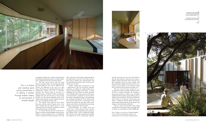symmetrical angles into a subtle and elegant play of shifting intersecting volumes, in which symmetry is suggested and at the same time denied.

The twin curved ends of the new front wing, externally similar, are developed internally in quite different ways and on different floor levels. The bathroom to the west is an open space flowing into the adjoining bedroom with a continuous window and even a continuous curtain. The elevated study to the east is a hermetic space, enveloped in timber and shelving. Slightly off-centre, the entry faces a sweep of glass to the view, but denies immediate access to the deck beyond. Instead, one must explore the spaces east or west along the northern wall.

The original living wing has been deconstructed, with the reclad 45-degree 'prow' to the east wrapped into the kitchen space as a cosy sunroom and the formerly symmetrical western end rebuilt entirely as the fireplace.

At a much reduced scale, the overall result is like one of those ancestral English country houses, where an intact mediaeval core is 'regularised' with a symmetrical Classical pavilion across the

front, old towers and chimneys projecting above the long flat line of the new roof. Here, the new front wing is similarly low and horizontal, and the older bedroom pavilion with its tall roof sits unaltered to one side.

Another sophistication unexpected in such a small house is the way the spaces, generally rectilinear, are defined by smaller-scaled curves. Again a Classical analogy can be made – in Greek mouldings, the curved parts are always separated with a flat fillet. Here, long sweeps of wall or glass are punctuated by a projection of curved wall at key points, separating the spaces and articulating the circulation through the house. Between the entry and the living room is a projecting curved element that divides the long glass walls, recalling the ends of the new front pavilion and giving enclosure and privacy to the two spaces.



Unconventionally, the kitchen faces the 'wrong' way – in most instances where a kitchen is designed around an island bench, the cook faces the windows with a wall of cupboards behind. Here, however, the wall of cupboards and fridge has replaced one of the water-facing windows,

and the cook faces the rear wall. The benefit is that the often-intrusive volume of service space is hidden, and the long back wall of the space can flow seamlessly across the entire volume. This planning further heightens the drama of the views, giving a special quality to the north-east facing slot of sunroom with its generous window seat.

The new work has been carried out in a contemporary manner in timber and fibre cement, all left to weather. Internally, the sheeting is plasterboard painted in subtle curves and fields, emphasising the geometry and recalling a play of shadow across its surfaces. This device enables different colours to be used for various spaces and planes – avoiding an all-white palette. The detail is well-resolved and appropriate, giving vibrancy and richness to the often spare architecture.

This is a mature and inventive work, sitting comfortably in its setting. It creates, through modest means, an environment of relaxed delight. **ar**

*Peter Tonkin is a director of Tonkin Zulaikha Greer Architects and adjunct professor of architecture at the University of Queensland.*

This is a mature and inventive work, sitting comfortably in its setting. It creates, through modest means, an environment of relaxed delight.

*06.* **An expansive strip of glazing flows across the master bedroom, providing superb views.**